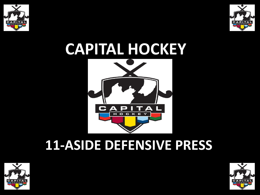



# **CAPITAL HOCKEY**







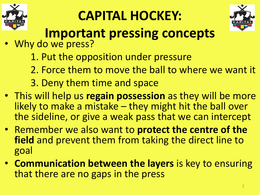

## **CAPITAL HOCKEY:**



#### **Important pressing concepts**

- Why do we press?
	- 1. Put the opposition under pressure
	- 2. Force them to move the ball to where we want it
	- 3. Deny them time and space
- This will help us **regain possession** as they will be more likely to make a mistake – they might hit the ball over the sideline, or give a weak pass that we can intercept
- Remember we also want to **protect the centre of the field** and prevent them from taking the direct line to goal
- **Communication between the layers** is key to ensuring that there are no gaps in the press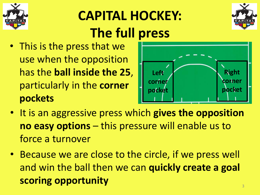

#### **CAPITAL HOCKEY: The full press**



• This is the press that we use when the opposition has the **ball inside the 25**, particularly in the **corner pockets**



- It is an aggressive press which **gives the opposition no easy options** – this pressure will enable us to force a turnover
- Because we are close to the circle, if we press well and win the ball then we can **quickly create a goal scoring opportunity**  $\frac{1}{3}$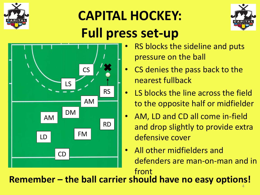

### **CAPITAL HOCKEY: Full press set-up**





- RS blocks the sideline and puts pressure on the ball
- CS denies the pass back to the nearest fullback
- LS blocks the line across the field to the opposite half or midfielder
- AM, LD and CD all come in-field and drop slightly to provide extra defensive cover
- All other midfielders and defenders are man-on-man and in front

**Remember – the ball carrier should have no easy options!** 4